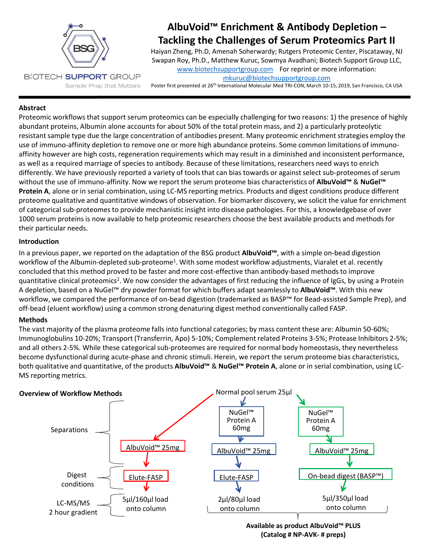

# **AlbuVoid™ Enrichment & Antibody Depletion – Tackling the Challenges of Serum Proteomics Part II**

Haiyan Zheng, Ph.D, Amenah Soherwardy; Rutgers Proteomic Center, Piscataway, NJ Swapan Roy, Ph.D., Matthew Kuruc, Sowmya Avadhani; Biotech Support Group LLC, [www.biotechsupportgroup.com](http://www.biotechsupportgroup.com/) For reprint or more information: [mkuruc@biotechsupportgroup.com](mailto:mkuruc@biotechsupportgroup.com)

Poster first presented at 26<sup>th</sup> International Molecular Med TRI-CON, March 10-15, 2019, San Francisco, CA USA

## **Abstract**

Proteomic workflows that support serum proteomics can be especially challenging for two reasons: 1) the presence of highly abundant proteins, Albumin alone accounts for about 50% of the total protein mass, and 2) a particularly proteolytic resistant sample type due the large concentration of antibodies present. Many proteomic enrichment strategies employ the use of immuno-affinity depletion to remove one or more high abundance proteins. Some common limitations of immunoaffinity however are high costs, regeneration requirements which may result in a diminished and inconsistent performance, as well as a required marriage of species to antibody. Because of these limitations, researchers need ways to enrich differently. We have previously reported a variety of tools that can bias towards or against select sub-proteomes of serum without the use of immuno-affinity. Now we report the serum proteome bias characteristics of **AlbuVoid™** & **NuGel™ Protein A**, alone or in serial combination, using LC-MS reporting metrics. Products and digest conditions produce different proteome qualitative and quantitative windows of observation. For biomarker discovery, we solicit the value for enrichment of categorical sub-proteomes to provide mechanistic insight into disease pathologies. For this, a knowledgebase of over 1000 serum proteins is now available to help proteomic researchers choose the best available products and methods for their particular needs.

#### **Introduction**

In a previous paper, we reported on the adaptation of the BSG product **AlbuVoid™**, with a simple on-bead digestion workflow of the Albumin-depleted sub-proteome<sup>1</sup>. With some modest workflow adjustments, Viaralet et al. recently concluded that this method proved to be faster and more cost-effective than antibody-based methods to improve quantitative clinical proteomics<sup>2</sup>. We now consider the advantages of first reducing the influence of IgGs, by using a Protein A depletion, based on a NuGel™ dry powder format for which buffers adapt seamlessly to **AlbuVoid™**. With this new workflow, we compared the performance of on-bead digestion (trademarked as BASP™ for Bead-assisted Sample Prep), and off-bead (eluent workflow) using a common strong denaturing digest method conventionally called FASP.

## **Methods**

The vast majority of the plasma proteome falls into functional categories; by mass content these are: Albumin 50-60%; Immunoglobulins 10-20%; Transport (Transferrin, Apo) 5-10%; Complement related Proteins 3-5%; Protease Inhibitors 2-5%; and all others 2-5%. While these categorical sub-proteomes are required for normal body homeostasis, they nevertheless become dysfunctional during acute-phase and chronic stimuli. Herein, we report the serum proteome bias characteristics, both qualitative and quantitative, of the products **AlbuVoid™** & **NuGel™ Protein A**, alone or in serial combination, using LC-MS reporting metrics.



**Available as product AlbuVoid™ PLUS (Catalog # NP-AVK- # preps)**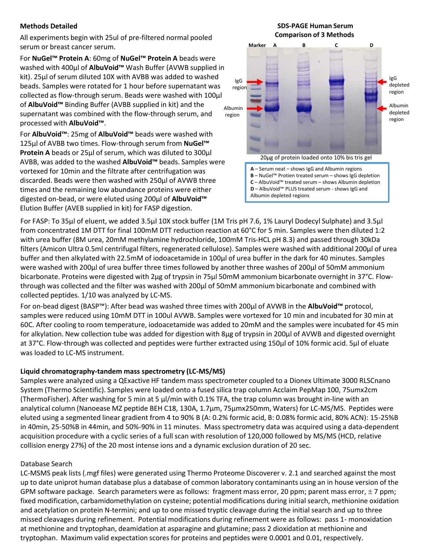## **Methods Detailed**

All experiments begin with 25ul of pre-filtered normal pooled serum or breast cancer serum.

For **NuGel™ Protein A**: 60mg of **NuGel™ Protein A** beads were washed with 400µl of **AlbuVoid™** Wash Buffer (AVWB supplied in kit). 25µl of serum diluted 10X with AVBB was added to washed beads. Samples were rotated for 1 hour before supernatant was collected as flow-through serum. Beads were washed with 100µl of **AlbuVoid™** Binding Buffer (AVBB supplied in kit) and the supernatant was combined with the flow-through serum, and processed with **AlbuVoid™**.

For **AlbuVoid™**: 25mg of **AlbuVoid™** beads were washed with 125µl of AVBB two times. Flow-through serum from **NuGel™ Protein A** beads or 25µl of serum, which was diluted to 300µl AVBB, was added to the washed **AlbuVoid™** beads. Samples were vortexed for 10min and the filtrate after centrifugation was discarded. Beads were then washed with 250µl of AVWB three times and the remaining low abundance proteins were either digested on-bead, or were eluted using 200µl of **AlbuVoid™** Elution Buffer (AVEB supplied in kit) for FASP digestion.

# **Marker A B C D Comparison of 3 Methods** IgG region Albumin region 20µg of protein loaded onto 10% bis tris gel **A** – Serum neat – shows IgG and Albumin regions **B** – NuGel™ Protien treated serum – shows IgG depletion **C** – AlbuVoid™ treated serum – shows Albumin depletion **D** – AlbuVoid™ PLUS treated serum - shows IgG and Albumin depleted regions IgG depleted region Albumin depleted region

**SDS-PAGE Human Serum**

For FASP: To 35µl of eluent, we added 3.5µl 10X stock buffer (1M Tris pH 7.6, 1% Lauryl Dodecyl Sulphate) and 3.5µl from concentrated 1M DTT for final 100mM DTT reduction reaction at 60°C for 5 min. Samples were then diluted 1:2 with urea buffer (8M urea, 20mM methylamine hydrochloride, 100mM Tris-HCL pH 8.3) and passed through 30kDa filters (Amicon Ultra 0.5ml centrifugal filters, regenerated cellulose). Samples were washed with additional 200µl of urea buffer and then alkylated with 22.5mM of iodoacetamide in 100µl of urea buffer in the dark for 40 minutes. Samples were washed with 200µl of urea buffer three times followed by another three washes of 200µl of 50mM ammonium bicarbonate. Proteins were digested with 2µg of trypsin in 75µl 50mM ammonium bicarbonate overnight in 37°C. Flowthrough was collected and the filter was washed with 200µl of 50mM ammonium bicarbonate and combined with collected peptides. 1/10 was analyzed by LC-MS.

For on-bead digest (BASP™): After bead was washed three times with 200µl of AVWB in the **AlbuVoid™** protocol, samples were reduced using 10mM DTT in 100ul AVWB. Samples were vortexed for 10 min and incubated for 30 min at 60C. After cooling to room temperature, iodoacetamide was added to 20mM and the samples were incubated for 45 min for alkylation. New collection tube was added for digestion with 8µg of trypsin in 200µl of AVWB and digested overnight at 37°C. Flow-through was collected and peptides were further extracted using 150µl of 10% formic acid. 5µl of eluate was loaded to LC-MS instrument.

## **Liquid chromatography-tandem mass spectrometry (LC-MS/MS)**

Samples were analyzed using a QExactive HF tandem mass spectrometer coupled to a Dionex Ultimate 3000 RLSCnano System (Thermo Scientific). Samples were loaded onto a fused silica trap column Acclaim PepMap 100, 75umx2cm (ThermoFisher). After washing for 5 min at 5 µl/min with 0.1% TFA, the trap column was brought in-line with an analytical column (Nanoease MZ peptide BEH C18, 130A, 1.7µm, 75µmx250mm, Waters) for LC-MS/MS. Peptides were eluted using a segmented linear gradient from 4 to 90% B (A: 0.2% formic acid, B: 0.08% formic acid, 80% ACN): 15-25%B in 40min, 25-50%B in 44min, and 50%-90% in 11 minutes. Mass spectrometry data was acquired using a data-dependent acquisition procedure with a cyclic series of a full scan with resolution of 120,000 followed by MS/MS (HCD, relative collision energy 27%) of the 20 most intense ions and a dynamic exclusion duration of 20 sec.

## Database Search

LC-MSMS peak lists (.mgf files) were generated using Thermo Proteome Discoverer v. 2.1 and searched against the most up to date uniprot human database plus a database of common laboratory contaminants using an in house version of the GPM software package. Search parameters were as follows: fragment mass error, 20 ppm; parent mass error,  $\pm$  7 ppm; fixed modification, carbamidomethylation on cysteine; potential modifications during initial search, methionine oxidation and acetylation on protein N-termini; and up to one missed tryptic cleavage during the initial search and up to three missed cleavages during refinement. Potential modifications during refinement were as follows: pass 1- monoxidation at methionine and tryptophan, deamidation at asparagine and glutamine; pass 2 dioxidation at methionine and tryptophan. Maximum valid expectation scores for proteins and peptides were 0.0001 and 0.01, respectively.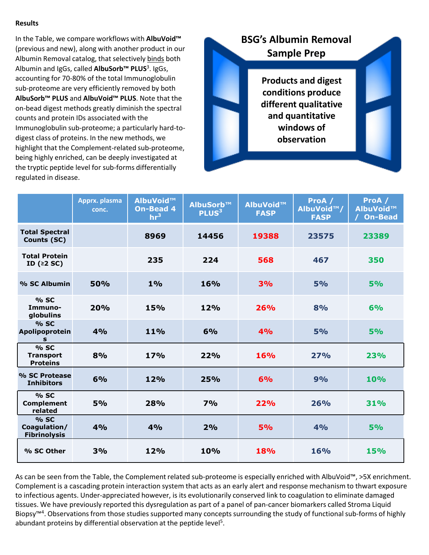## **Results**

In the Table, we compare workflows with **AlbuVoid™**  (previous and new), along with another product in our Albumin Removal catalog, that selectively binds both Albumin and IgGs, called **AlbuSorb™ PLUS**<sup>3</sup> . IgGs, accounting for 70-80% of the total Immunoglobulin sub-proteome are very efficiently removed by both **AlbuSorb™ PLUS** and **AlbuVoid™ PLUS**. Note that the on-bead digest methods greatly diminish the spectral counts and protein IDs associated with the Immunoglobulin sub-proteome; a particularly hard-todigest class of proteins. In the new methods, we highlight that the Complement-related sub-proteome, being highly enriched, can be deeply investigated at the tryptic peptide level for sub-forms differentially regulated in disease.



|                                             | Apprx. plasma<br>conc. | AlbuVoid™<br><b>On-Bead 4</b><br>hr <sup>3</sup> | AlbuSorb™<br>PLUS <sup>3</sup> | AlbuVoid™<br><b>FASP</b> | ProA /<br>AlbuVoid <sup>™</sup> /<br><b>FASP</b> | ProA /<br>AlbuVoid™<br><b>On-Bead</b> |
|---------------------------------------------|------------------------|--------------------------------------------------|--------------------------------|--------------------------|--------------------------------------------------|---------------------------------------|
| <b>Total Spectral</b><br>Counts (SC)        |                        | 8969                                             | 14456                          | 19388                    | 23575                                            | 23389                                 |
| <b>Total Protein</b><br>ID $(2S)$           |                        | 235                                              | 224                            | 568                      | 467                                              | 350                                   |
| % SC Albumin                                | 50%                    | 1%                                               | 16%                            | 3%                       | 5%                                               | 5%                                    |
| % SC<br>Immuno-<br>globulins                | 20%                    | 15%                                              | 12%                            | 26%                      | 8%                                               | 6%                                    |
| % SC<br>Apolipoprotein<br>$\mathbf{s}$      | 4%                     | 11%                                              | 6%                             | 4%                       | 5%                                               | 5%                                    |
| % SC<br><b>Transport</b><br><b>Proteins</b> | 8%                     | 17%                                              | 22%                            | 16%                      | 27%                                              | 23%                                   |
| % SC Protease<br><b>Inhibitors</b>          | 6%                     | 12%                                              | 25%                            | 6%                       | 9%                                               | 10%                                   |
| % SC<br><b>Complement</b><br>related        | 5%                     | 28%                                              | 7%                             | 22%                      | 26%                                              | 31%                                   |
| % SC<br>Coagulation/<br><b>Fibrinolysis</b> | 4%                     | 4%                                               | 2%                             | 5%                       | 4%                                               | 5%                                    |
| % SC Other                                  | 3%                     | 12%                                              | 10%                            | 18%                      | 16%                                              | <b>15%</b>                            |

As can be seen from the Table, the Complement related sub-proteome is especially enriched with AlbuVoid™, >5X enrichment. Complement is a cascading protein interaction system that acts as an early alert and response mechanism to thwart exposure to infectious agents. Under-appreciated however, is its evolutionarily conserved link to coagulation to eliminate damaged tissues. We have previously reported this dysregulation as part of a panel of pan-cancer biomarkers called Stroma Liquid Biopsy<sup>™4</sup>. Observations from those studies supported many concepts surrounding the study of functional sub-forms of highly abundant proteins by differential observation at the peptide level<sup>5</sup>.